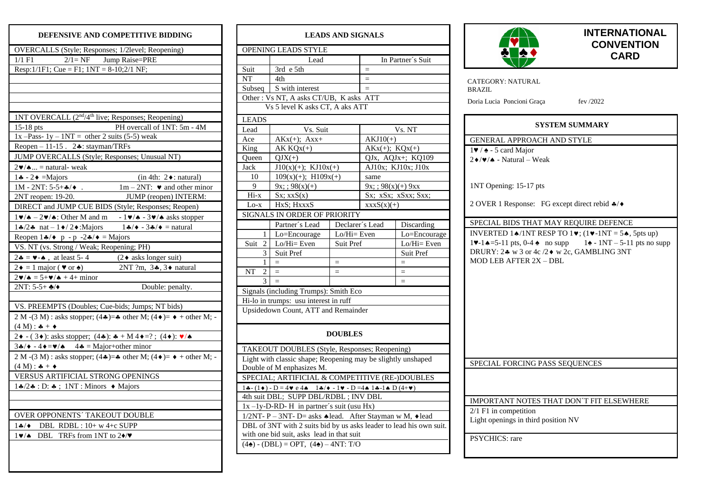## **DEFENSIVE AND COMPETITIVE BIDDING**

| OVERCALLS (Style; Responses; 1/2level; Reopening)                                                                          |  |  |  |  |  |
|----------------------------------------------------------------------------------------------------------------------------|--|--|--|--|--|
| $2/1 = NF$ Jump Raise=PRE<br>$1/1$ F1                                                                                      |  |  |  |  |  |
| Resp: $1/1F1$ ; Cue = F1; $1NT = 8-10$ ; $2/1NF$ ;                                                                         |  |  |  |  |  |
|                                                                                                                            |  |  |  |  |  |
|                                                                                                                            |  |  |  |  |  |
|                                                                                                                            |  |  |  |  |  |
|                                                                                                                            |  |  |  |  |  |
| 1NT OVERCALL (2 <sup>nd</sup> /4 <sup>th</sup> live; Responses; Reopening)                                                 |  |  |  |  |  |
| PH overcall of 1NT: 5m - 4M<br>$15-18$ pts                                                                                 |  |  |  |  |  |
| 1x -Pass- 1y - 1NT = other 2 suits (5-5) weak                                                                              |  |  |  |  |  |
| Reopen $-11-15$ . 2. stayman/TRFs                                                                                          |  |  |  |  |  |
| JUMP OVERCALLS (Style; Responses; Unusual NT)                                                                              |  |  |  |  |  |
| $2\nv/\nA$ = natural- weak                                                                                                 |  |  |  |  |  |
| $1 \cdot - 2 \cdot =$ Majors<br>$(in 4th: 2 \cdot : natural)$                                                              |  |  |  |  |  |
| $1M - 2NT: 5-5+A$ / $\bullet$ .<br>$1m - 2NT$ : $\blacktriangleright$ and other minor                                      |  |  |  |  |  |
| 2NT reopen: 19-20.<br>JUMP (reopen) INTERM:                                                                                |  |  |  |  |  |
| <b>DIRECT</b> and JUMP CUE BIDS (Style; Responses; Reopen)                                                                 |  |  |  |  |  |
| $1 \vee / \triangle - 2 \vee / \triangle$ : Other M and m $-1 \vee / \triangle -3 \vee / \triangle$ asks stopper           |  |  |  |  |  |
| $1\clubsuit/2\spadesuit$ nat $-1\spadesuit/2\spadesuit$ : Majors $1\clubsuit/\spadesuit - 3\clubsuit/\spadesuit$ = natural |  |  |  |  |  |
| Reopen $1 \cdot 4$ $\rightarrow$ p - p -2 $\cdot 4$ $\rightarrow$ = Majors                                                 |  |  |  |  |  |
| VS. NT (vs. Strong / Weak; Reopening; PH)                                                                                  |  |  |  |  |  |
| $2\clubsuit = \bullet - \bullet$ , at least 5-4 (2 $\bullet$ asks longer suit)                                             |  |  |  |  |  |
| 2NT ?m, $3*, 3*$ natural<br>$2\bullet = 1$ major ( $\bullet$ or $\bullet$ )                                                |  |  |  |  |  |
| $2\mathbf{v}/\mathbf{A} = 5 + \mathbf{v}/\mathbf{A} + 4 + \text{minor}$                                                    |  |  |  |  |  |
| $2NT: 5-5+$ */*<br>Double: penalty.                                                                                        |  |  |  |  |  |
|                                                                                                                            |  |  |  |  |  |
| VS. PREEMPTS (Doubles; Cue-bids; Jumps; NT bids)                                                                           |  |  |  |  |  |
| 2 M - (3 M) : asks stopper; (4 $\clubsuit$ ) = $\clubsuit$ other M; (4 $\spadesuit$ ) = $\bullet$ + other M; -             |  |  |  |  |  |
| $(4 M):$ $\clubsuit + \spadesuit$                                                                                          |  |  |  |  |  |
| 2 + - (3 + ): asks stopper; (4 * ): * + M 4 + = ? ; (4 * ): $\sqrt{*}$                                                     |  |  |  |  |  |
| 34/ $\rightarrow$ -4 $\rightarrow$ = $\bullet$ / $\rightarrow$ 44 = Major+other minor                                      |  |  |  |  |  |
| 2 M - (3 M) : asks stopper; $(4\clubsuit) = \clubsuit$ other M; $(4\spadesuit) = \bullet$ + other M; -                     |  |  |  |  |  |
| $(4 M):$ $\clubsuit + \spadesuit$                                                                                          |  |  |  |  |  |
| VERSUS ARTIFICIAL STRONG OPENINGS                                                                                          |  |  |  |  |  |
| $1\clubsuit/2\clubsuit$ : D: $\clubsuit$ ; 1NT: Minors $\blacklozenge$ Majors                                              |  |  |  |  |  |
|                                                                                                                            |  |  |  |  |  |
|                                                                                                                            |  |  |  |  |  |
| OVER OPPONENTS' TAKEOUT DOUBLE                                                                                             |  |  |  |  |  |
| $1\clubsuit/\bullet$ DBL RDBL: $10+ w 4+c$ SUPP                                                                            |  |  |  |  |  |
| DBL TRFs from 1NT to 2 $\blacklozenge/\blacktriangledown$<br>$1 \vee\!\!\!\!\!\blacktriangleleft$                          |  |  |  |  |  |
|                                                                                                                            |  |  |  |  |  |
|                                                                                                                            |  |  |  |  |  |

| <b>LEADS AND SIGNALS</b>                                                                                                                                                                            |                                                                     |                 |                         |                                  |  |  |  |  |
|-----------------------------------------------------------------------------------------------------------------------------------------------------------------------------------------------------|---------------------------------------------------------------------|-----------------|-------------------------|----------------------------------|--|--|--|--|
| OPENING LEADS STYLE                                                                                                                                                                                 |                                                                     |                 |                         |                                  |  |  |  |  |
|                                                                                                                                                                                                     | Lead                                                                |                 | In Partner's Suit       |                                  |  |  |  |  |
| Suit                                                                                                                                                                                                | 3rd e 5th                                                           |                 | $=$                     |                                  |  |  |  |  |
| NT                                                                                                                                                                                                  | 4th                                                                 |                 | $=$                     |                                  |  |  |  |  |
| Subseq                                                                                                                                                                                              | S with interest                                                     |                 | $=$                     |                                  |  |  |  |  |
|                                                                                                                                                                                                     | Other: Vs NT, A asks CT/UB, K asks ATT                              |                 |                         |                                  |  |  |  |  |
|                                                                                                                                                                                                     | Vs 5 level K asks CT, A aks ATT                                     |                 |                         |                                  |  |  |  |  |
| <b>LEADS</b>                                                                                                                                                                                        |                                                                     |                 |                         |                                  |  |  |  |  |
| Lead                                                                                                                                                                                                | Vs. Suit                                                            |                 | Vs. NT                  |                                  |  |  |  |  |
| Ace                                                                                                                                                                                                 | $AKx(+); Axx+$                                                      |                 | $AKJ10(+)$              |                                  |  |  |  |  |
| King                                                                                                                                                                                                | $AK KQx(+)$                                                         |                 | $AKx(+); KQx(+)$        |                                  |  |  |  |  |
| Queen                                                                                                                                                                                               | $QJX(+)$                                                            |                 | QJx, AQJx+; KQ109       |                                  |  |  |  |  |
| Jack                                                                                                                                                                                                | $J10(x)(+)$ ; KJ $10x(+)$                                           |                 | AJ10x; KJ10x; J10x      |                                  |  |  |  |  |
| 10                                                                                                                                                                                                  | $109(x)(+); H109x(+)$                                               |                 | same                    |                                  |  |  |  |  |
| 9                                                                                                                                                                                                   | $9x$ ; $98(x)(+)$                                                   |                 | $9x$ ; ; $98(x)(+) 9xx$ |                                  |  |  |  |  |
| $Hi-x$                                                                                                                                                                                              | Sx; xxS(x)                                                          |                 | Sx; xSx; xSxx; Sxx;     |                                  |  |  |  |  |
| $Lo-x$                                                                                                                                                                                              | HxS; HxxxS                                                          |                 | $xxxxS(x)(+)$           |                                  |  |  |  |  |
|                                                                                                                                                                                                     | SIGNALS IN ORDER OF PRIORITY                                        |                 |                         |                                  |  |  |  |  |
|                                                                                                                                                                                                     | Partner's Lead                                                      | Declarer's Lead | Discarding              |                                  |  |  |  |  |
| 1                                                                                                                                                                                                   | Lo=Encourage                                                        | $Lo/Hi = Even$  |                         | Lo=Encourage                     |  |  |  |  |
| Suit<br>2                                                                                                                                                                                           | $Lo/H$ i= Even                                                      | Suit Pref       |                         | $\overline{\text{Lo/H}}$ i= Even |  |  |  |  |
| 3                                                                                                                                                                                                   | <b>Suit Pref</b>                                                    |                 | Suit Pref               |                                  |  |  |  |  |
| 1                                                                                                                                                                                                   | $=$                                                                 | $=$             |                         | $=$                              |  |  |  |  |
| NT<br>2                                                                                                                                                                                             | $=$                                                                 | $=$             |                         | $=$                              |  |  |  |  |
| 3                                                                                                                                                                                                   | $=$                                                                 |                 |                         | $=$                              |  |  |  |  |
|                                                                                                                                                                                                     | Signals (including Trumps): Smith Eco                               |                 |                         |                                  |  |  |  |  |
| Hi-lo in trumps: usu interest in ruff                                                                                                                                                               |                                                                     |                 |                         |                                  |  |  |  |  |
|                                                                                                                                                                                                     | Upsidedown Count, ATT and Remainder                                 |                 |                         |                                  |  |  |  |  |
| <b>DOUBLES</b>                                                                                                                                                                                      |                                                                     |                 |                         |                                  |  |  |  |  |
| TAKEOUT DOUBLES (Style, Responses; Reopening)                                                                                                                                                       |                                                                     |                 |                         |                                  |  |  |  |  |
| Light with classic shape; Reopening may be slightly unshaped                                                                                                                                        |                                                                     |                 |                         |                                  |  |  |  |  |
| Double of M enphasizes M.                                                                                                                                                                           |                                                                     |                 |                         |                                  |  |  |  |  |
| SPECIAL; ARTIFICIAL & COMPETITIVE (RE-)DOUBLES                                                                                                                                                      |                                                                     |                 |                         |                                  |  |  |  |  |
| $1\clubsuit$ -(1 $\bullet$ ) - D = 4 $\triangledown$ e 4 $\spadesuit$ - 1 $\clubsuit$ / $\spadesuit$ - 1 $\triangledown$ - D = 4 $\spadesuit$ 1 $\clubsuit$ -1 $\spadesuit$ D (4+ $\triangledown$ ) |                                                                     |                 |                         |                                  |  |  |  |  |
| 4th suit DBL; SUPP DBL/RDBL; INV DBL                                                                                                                                                                |                                                                     |                 |                         |                                  |  |  |  |  |
| $1x - 1y - D - RD - H$ in partner's suit (usu Hx)                                                                                                                                                   |                                                                     |                 |                         |                                  |  |  |  |  |
| 1/2NT- P - 3NT- D= asks ◆ lead. After Stayman w M, ◆ lead                                                                                                                                           |                                                                     |                 |                         |                                  |  |  |  |  |
|                                                                                                                                                                                                     | DBL of 3NT with 2 suits bid by us asks leader to lead his own suit. |                 |                         |                                  |  |  |  |  |
|                                                                                                                                                                                                     | with one bid suit, asks lead in that suit                           |                 |                         |                                  |  |  |  |  |
|                                                                                                                                                                                                     | $(4\spadesuit) - (DBL) = OPT$ , $(4\spadesuit) - 4NT$ : T/O         |                 |                         |                                  |  |  |  |  |



## **INTERNATIONAL CONVENTION CARD**

| CATEGORY: NATURAL<br><b>BRAZIL</b>                                  |                                                                                                                             |  |  |  |  |  |  |
|---------------------------------------------------------------------|-----------------------------------------------------------------------------------------------------------------------------|--|--|--|--|--|--|
| Doria Lucia Poncioni Graça                                          | fev $/2022$                                                                                                                 |  |  |  |  |  |  |
| SYSTEM SUMMARY                                                      |                                                                                                                             |  |  |  |  |  |  |
| GENERAL APPROACH AND STYLE                                          |                                                                                                                             |  |  |  |  |  |  |
| $1\blacktriangleright$ / $\blacktriangle$ - 5 card Major            |                                                                                                                             |  |  |  |  |  |  |
| $2\blacklozenge/\blacktriangledown/\blacktriangle$ - Natural – Weak |                                                                                                                             |  |  |  |  |  |  |
| 1NT Opening: 15-17 pts                                              |                                                                                                                             |  |  |  |  |  |  |
| 2 OVER 1 Response: FG except direct rebid $\clubsuit/\bullet$       |                                                                                                                             |  |  |  |  |  |  |
| SPECIAL BIDS THAT MAY REQUIRE DEFENCE                               |                                                                                                                             |  |  |  |  |  |  |
|                                                                     | INVERTED 14/1NT RESP TO 1 $\blacktriangledown$ ; (1 $\blacktriangledown$ -1NT = 54, 5pts up)                                |  |  |  |  |  |  |
|                                                                     | $1\blacktriangleright -1\blacktriangle = 5-11$ pts, 0-4 $\blacktriangle$ no supp $1\blacktriangle = 1NT - 5-11$ pts no supp |  |  |  |  |  |  |
| DRURY: 24 w 3 or 4c /2♦ w 2c, GAMBLING 3NT                          |                                                                                                                             |  |  |  |  |  |  |
| MOD LEB AFTER 2X - DBL                                              |                                                                                                                             |  |  |  |  |  |  |
|                                                                     |                                                                                                                             |  |  |  |  |  |  |
|                                                                     |                                                                                                                             |  |  |  |  |  |  |
|                                                                     |                                                                                                                             |  |  |  |  |  |  |
|                                                                     |                                                                                                                             |  |  |  |  |  |  |
|                                                                     |                                                                                                                             |  |  |  |  |  |  |
|                                                                     |                                                                                                                             |  |  |  |  |  |  |
|                                                                     |                                                                                                                             |  |  |  |  |  |  |
|                                                                     |                                                                                                                             |  |  |  |  |  |  |
|                                                                     |                                                                                                                             |  |  |  |  |  |  |
| SPECIAL FORCING PASS SEQUENCES                                      |                                                                                                                             |  |  |  |  |  |  |
|                                                                     |                                                                                                                             |  |  |  |  |  |  |
|                                                                     |                                                                                                                             |  |  |  |  |  |  |
| IMPORTANT NOTES THAT DON'T FIT ELSEWHERE                            |                                                                                                                             |  |  |  |  |  |  |
| $2/1$ F1 in competition                                             |                                                                                                                             |  |  |  |  |  |  |
| Light openings in third position NV                                 |                                                                                                                             |  |  |  |  |  |  |
|                                                                     |                                                                                                                             |  |  |  |  |  |  |
| PSYCHICS: rare                                                      |                                                                                                                             |  |  |  |  |  |  |